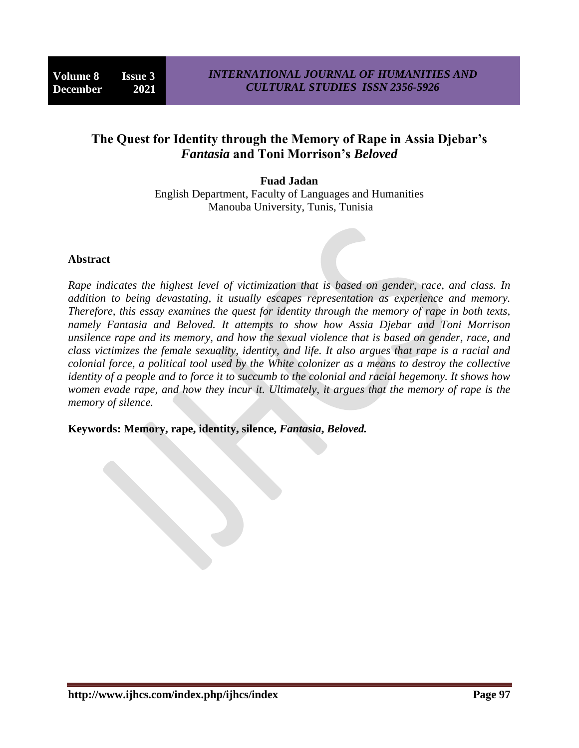## **The Quest for Identity through the Memory of Rape in Assia Djebar's**  *Fantasia* **and Toni Morrison's** *Beloved*

**Fuad Jadan** English Department, Faculty of Languages and Humanities Manouba University, Tunis, Tunisia

## **Abstract**

*Rape indicates the highest level of victimization that is based on gender, race, and class. In addition to being devastating, it usually escapes representation as experience and memory. Therefore, this essay examines the quest for identity through the memory of rape in both texts, namely Fantasia and Beloved. It attempts to show how Assia Djebar and Toni Morrison unsilence rape and its memory, and how the sexual violence that is based on gender, race, and class victimizes the female sexuality, identity, and life. It also argues that rape is a racial and colonial force, a political tool used by the White colonizer as a means to destroy the collective identity of a people and to force it to succumb to the colonial and racial hegemony. It shows how women evade rape, and how they incur it. Ultimately, it argues that the memory of rape is the memory of silence.* 

**Keywords: Memory, rape, identity, silence,** *Fantasia***,** *Beloved.*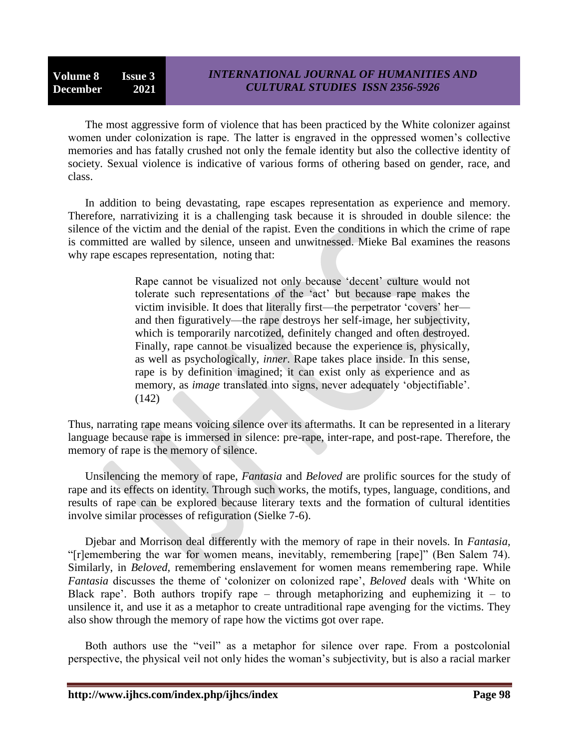The most aggressive form of violence that has been practiced by the White colonizer against women under colonization is rape. The latter is engraved in the oppressed women's collective memories and has fatally crushed not only the female identity but also the collective identity of society. Sexual violence is indicative of various forms of othering based on gender, race, and class.

In addition to being devastating, rape escapes representation as experience and memory. Therefore, narrativizing it is a challenging task because it is shrouded in double silence: the silence of the victim and the denial of the rapist. Even the conditions in which the crime of rape is committed are walled by silence, unseen and unwitnessed. Mieke Bal examines the reasons why rape escapes representation, noting that:

> Rape cannot be visualized not only because 'decent' culture would not tolerate such representations of the 'act' but because rape makes the victim invisible. It does that literally first—the perpetrator 'covers' her and then figuratively—the rape destroys her self-image, her subjectivity, which is temporarily narcotized, definitely changed and often destroyed. Finally, rape cannot be visualized because the experience is, physically, as well as psychologically, *inner*. Rape takes place inside. In this sense, rape is by definition imagined; it can exist only as experience and as memory, as *image* translated into signs, never adequately 'objectifiable'. (142)

Thus, narrating rape means voicing silence over its aftermaths. It can be represented in a literary language because rape is immersed in silence: pre-rape, inter-rape, and post-rape. Therefore, the memory of rape is the memory of silence.

Unsilencing the memory of rape, *Fantasia* and *Beloved* are prolific sources for the study of rape and its effects on identity. Through such works, the motifs, types, language, conditions, and results of rape can be explored because literary texts and the formation of cultural identities involve similar processes of refiguration (Sielke 7-6).

Djebar and Morrison deal differently with the memory of rape in their novels. In *Fantasia,* ―[r]emembering the war for women means, inevitably, remembering [rape]‖ (Ben Salem 74). Similarly, in *Beloved,* remembering enslavement for women means remembering rape. While *Fantasia* discusses the theme of 'colonizer on colonized rape', *Beloved* deals with 'White on Black rape'. Both authors tropify rape – through metaphorizing and euphemizing it – to unsilence it, and use it as a metaphor to create untraditional rape avenging for the victims. They also show through the memory of rape how the victims got over rape.

Both authors use the "veil" as a metaphor for silence over rape. From a postcolonial perspective, the physical veil not only hides the woman's subjectivity, but is also a racial marker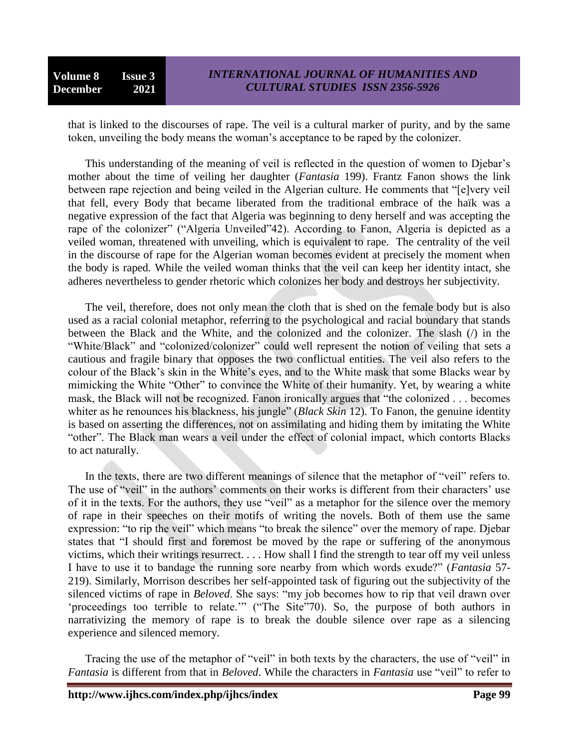that is linked to the discourses of rape. The veil is a cultural marker of purity, and by the same token, unveiling the body means the woman's acceptance to be raped by the colonizer.

This understanding of the meaning of veil is reflected in the question of women to Djebar's mother about the time of veiling her daughter (*Fantasia* 199). Frantz Fanon shows the link between rape rejection and being veiled in the Algerian culture. He comments that "[e]very veil that fell, every Body that became liberated from the traditional embrace of the haïk was a negative expression of the fact that Algeria was beginning to deny herself and was accepting the rape of the colonizer" ("Algeria Unveiled"42). According to Fanon, Algeria is depicted as a veiled woman, threatened with unveiling, which is equivalent to rape. The centrality of the veil in the discourse of rape for the Algerian woman becomes evident at precisely the moment when the body is raped*.* While the veiled woman thinks that the veil can keep her identity intact, she adheres nevertheless to gender rhetoric which colonizes her body and destroys her subjectivity.

The veil, therefore, does not only mean the cloth that is shed on the female body but is also used as a racial colonial metaphor, referring to the psychological and racial boundary that stands between the Black and the White, and the colonized and the colonizer. The slash (/) in the "White/Black" and "colonized/colonizer" could well represent the notion of veiling that sets a cautious and fragile binary that opposes the two conflictual entities. The veil also refers to the colour of the Black's skin in the White's eyes, and to the White mask that some Blacks wear by mimicking the White "Other" to convince the White of their humanity. Yet, by wearing a white mask, the Black will not be recognized. Fanon ironically argues that "the colonized . . . becomes whiter as he renounces his blackness, his jungle" *(Black Skin* 12). To Fanon, the genuine identity is based on asserting the differences, not on assimilating and hiding them by imitating the White "other". The Black man wears a veil under the effect of colonial impact, which contorts Blacks to act naturally.

In the texts, there are two different meanings of silence that the metaphor of "veil" refers to. The use of "veil" in the authors' comments on their works is different from their characters' use of it in the texts. For the authors, they use "veil" as a metaphor for the silence over the memory of rape in their speeches on their motifs of writing the novels. Both of them use the same expression: "to rip the veil" which means "to break the silence" over the memory of rape. Diebar states that "I should first and foremost be moved by the rape or suffering of the anonymous victims, which their writings resurrect. . . . How shall I find the strength to tear off my veil unless I have to use it to bandage the running sore nearby from which words exude?‖ (*Fantasia* 57- 219). Similarly, Morrison describes her self-appointed task of figuring out the subjectivity of the silenced victims of rape in *Beloved*. She says: "my job becomes how to rip that veil drawn over 'proceedings too terrible to relate.'" ("The Site"70). So, the purpose of both authors in narrativizing the memory of rape is to break the double silence over rape as a silencing experience and silenced memory.

Tracing the use of the metaphor of "veil" in both texts by the characters, the use of "veil" in *Fantasia* is different from that in *Beloved*. While the characters in *Fantasia* use "veil" to refer to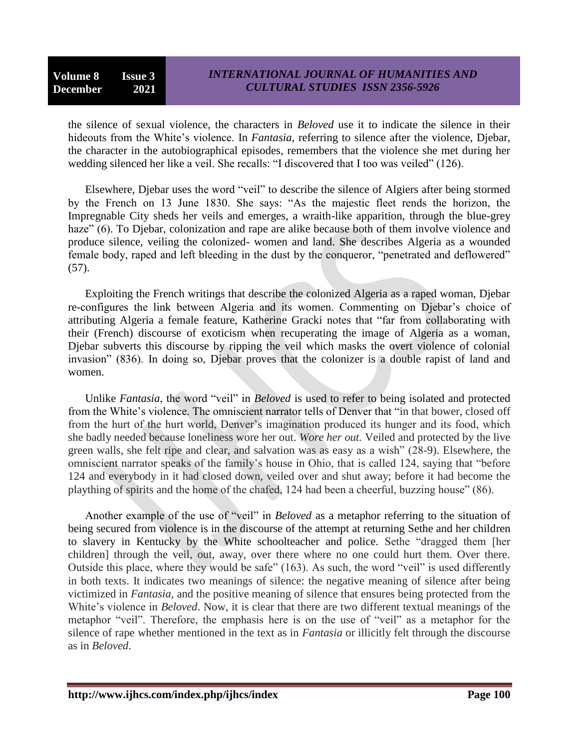## *INTERNATIONAL JOURNAL OF HUMANITIES AND CULTURAL STUDIES ISSN 2356-5926*

the silence of sexual violence, the characters in *Beloved* use it to indicate the silence in their hideouts from the White's violence. In *Fantasia*, referring to silence after the violence, Djebar, the character in the autobiographical episodes, remembers that the violence she met during her wedding silenced her like a veil. She recalls: "I discovered that I too was veiled" (126).

Elsewhere, Djebar uses the word "veil" to describe the silence of Algiers after being stormed by the French on 13 June 1830. She says: "As the majestic fleet rends the horizon, the Impregnable City sheds her veils and emerges, a wraith-like apparition, through the blue-grey haze" (6). To Djebar, colonization and rape are alike because both of them involve violence and produce silence, veiling the colonized- women and land. She describes Algeria as a wounded female body, raped and left bleeding in the dust by the conqueror, "penetrated and deflowered" (57).

Exploiting the French writings that describe the colonized Algeria as a raped woman, Djebar re-configures the link between Algeria and its women. Commenting on Djebar's choice of attributing Algeria a female feature, Katherine Gracki notes that "far from collaborating with their (French) discourse of exoticism when recuperating the image of Algeria as a woman, Djebar subverts this discourse by ripping the veil which masks the overt violence of colonial invasion" (836). In doing so, Diebar proves that the colonizer is a double rapist of land and women.

Unlike *Fantasia*, the word "veil" in *Beloved* is used to refer to being isolated and protected from the White's violence. The omniscient narrator tells of Denver that "in that bower, closed off from the hurt of the hurt world, Denver's imagination produced its hunger and its food, which she badly needed because loneliness wore her out. *Wore her out.* Veiled and protected by the live green walls, she felt ripe and clear, and salvation was as easy as a wish" (28-9). Elsewhere, the omniscient narrator speaks of the family's house in Ohio, that is called 124, saying that "before" 124 and everybody in it had closed down, veiled over and shut away; before it had become the plaything of spirits and the home of the chafed, 124 had been a cheerful, buzzing house" (86).

Another example of the use of "veil" in *Beloved* as a metaphor referring to the situation of being secured from violence is in the discourse of the attempt at returning Sethe and her children to slavery in Kentucky by the White schoolteacher and police. Sethe "dragged them [her children] through the veil, out, away, over there where no one could hurt them. Over there. Outside this place, where they would be safe" (163). As such, the word "veil" is used differently in both texts. It indicates two meanings of silence: the negative meaning of silence after being victimized in *Fantasia,* and the positive meaning of silence that ensures being protected from the White's violence in *Beloved*. Now, it is clear that there are two different textual meanings of the metaphor "veil". Therefore, the emphasis here is on the use of "veil" as a metaphor for the silence of rape whether mentioned in the text as in *Fantasia* or illicitly felt through the discourse as in *Beloved*.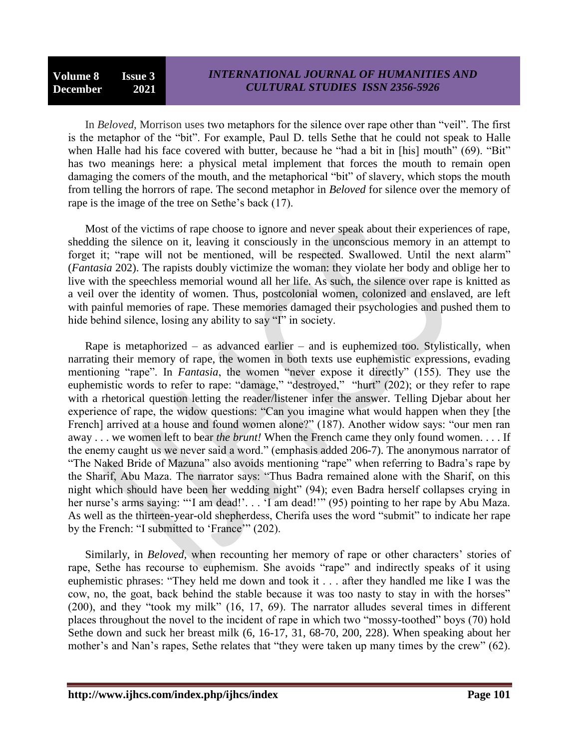In *Beloved*, Morrison uses two metaphors for the silence over rape other than "veil". The first is the metaphor of the "bit". For example, Paul D. tells Sethe that he could not speak to Halle when Halle had his face covered with butter, because he "had a bit in [his] mouth" (69). "Bit" has two meanings here: a physical metal implement that forces the mouth to remain open damaging the comers of the mouth, and the metaphorical "bit" of slavery, which stops the mouth from telling the horrors of rape. The second metaphor in *Beloved* for silence over the memory of rape is the image of the tree on Sethe's back (17).

Most of the victims of rape choose to ignore and never speak about their experiences of rape, shedding the silence on it, leaving it consciously in the unconscious memory in an attempt to forget it; "rape will not be mentioned, will be respected. Swallowed. Until the next alarm" (*Fantasia* 202). The rapists doubly victimize the woman: they violate her body and oblige her to live with the speechless memorial wound all her life. As such, the silence over rape is knitted as a veil over the identity of women. Thus, postcolonial women, colonized and enslaved, are left with painful memories of rape. These memories damaged their psychologies and pushed them to hide behind silence, losing any ability to say "I" in society.

Rape is metaphorized – as advanced earlier – and is euphemized too. Stylistically, when narrating their memory of rape, the women in both texts use euphemistic expressions, evading mentioning "rape". In *Fantasia*, the women "never expose it directly" (155). They use the euphemistic words to refer to rape: "damage," "destroyed," "hurt" (202); or they refer to rape with a rhetorical question letting the reader/listener infer the answer. Telling Djebar about her experience of rape, the widow questions: "Can you imagine what would happen when they [the French] arrived at a house and found women alone?" (187). Another widow says: "our men ran away . . . we women left to bear *the brunt!* When the French came they only found women. . . . If the enemy caught us we never said a word." (emphasis added 206-7). The anonymous narrator of "The Naked Bride of Mazuna" also avoids mentioning "rape" when referring to Badra's rape by the Sharif, Abu Maza. The narrator says: "Thus Badra remained alone with the Sharif, on this night which should have been her wedding night" (94); even Badra herself collapses crying in her nurse's arms saying: "'I am dead!'... 'I am dead!'" (95) pointing to her rape by Abu Maza. As well as the thirteen-year-old shepherdess, Cherifa uses the word "submit" to indicate her rape by the French: "I submitted to 'France'" (202).

Similarly, in *Beloved,* when recounting her memory of rape or other characters' stories of rape, Sethe has recourse to euphemism. She avoids "rape" and indirectly speaks of it using euphemistic phrases: "They held me down and took it . . . after they handled me like I was the cow, no, the goat, back behind the stable because it was too nasty to stay in with the horses" (200), and they "took my milk"  $(16, 17, 69)$ . The narrator alludes several times in different places throughout the novel to the incident of rape in which two "mossy-toothed" boys (70) hold Sethe down and suck her breast milk (6, 16-17, 31, 68-70, 200, 228). When speaking about her mother's and Nan's rapes, Sethe relates that "they were taken up many times by the crew" (62).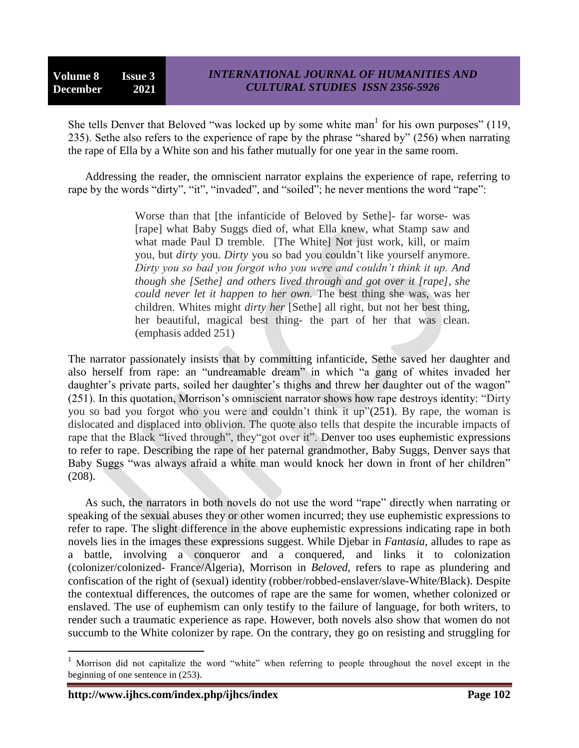She tells Denver that Beloved "was locked up by some white man<sup>1</sup> for his own purposes" (119, 235). Sethe also refers to the experience of rape by the phrase "shared by"  $(256)$  when narrating the rape of Ella by a White son and his father mutually for one year in the same room.

Addressing the reader, the omniscient narrator explains the experience of rape, referring to rape by the words "dirty", "it", "invaded", and "soiled"; he never mentions the word "rape":

> Worse than that [the infanticide of Beloved by Sethe]- far worse- was [rape] what Baby Suggs died of, what Ella knew, what Stamp saw and what made Paul D tremble. [The White] Not just work, kill, or maim you, but *dirty* you. *Dirty* you so bad you couldn't like yourself anymore. *Dirty you so bad you forgot who you were and couldn't think it up. And though she [Sethe] and others lived through and got over it [rape], she could never let it happen to her own.* The best thing she was, was her children. Whites might *dirty her* [Sethe] all right, but not her best thing, her beautiful, magical best thing- the part of her that was clean. (emphasis added 251)

The narrator passionately insists that by committing infanticide, Sethe saved her daughter and also herself from rape: an "undreamable dream" in which "a gang of whites invaded her daughter's private parts, soiled her daughter's thighs and threw her daughter out of the wagon" (251). In this quotation, Morrison's omniscient narrator shows how rape destroys identity: "Dirty" you so bad you forgot who you were and couldn't think it up" $(251)$ . By rape, the woman is dislocated and displaced into oblivion. The quote also tells that despite the incurable impacts of rape that the Black "lived through", they "got over it". Denver too uses euphemistic expressions to refer to rape. Describing the rape of her paternal grandmother, Baby Suggs, Denver says that Baby Suggs "was always afraid a white man would knock her down in front of her children" (208).

As such, the narrators in both novels do not use the word "rape" directly when narrating or speaking of the sexual abuses they or other women incurred; they use euphemistic expressions to refer to rape. The slight difference in the above euphemistic expressions indicating rape in both novels lies in the images these expressions suggest. While Djebar in *Fantasia,* alludes to rape as a battle, involving a conqueror and a conquered, and links it to colonization (colonizer/colonized- France/Algeria), Morrison in *Beloved*, refers to rape as plundering and confiscation of the right of (sexual) identity (robber/robbed-enslaver/slave-White/Black). Despite the contextual differences, the outcomes of rape are the same for women, whether colonized or enslaved. The use of euphemism can only testify to the failure of language, for both writers, to render such a traumatic experience as rape. However, both novels also show that women do not succumb to the White colonizer by rape. On the contrary, they go on resisting and struggling for

 $\overline{\phantom{a}}$ 

<sup>&</sup>lt;sup>1</sup> Morrison did not capitalize the word "white" when referring to people throughout the novel except in the beginning of one sentence in (253).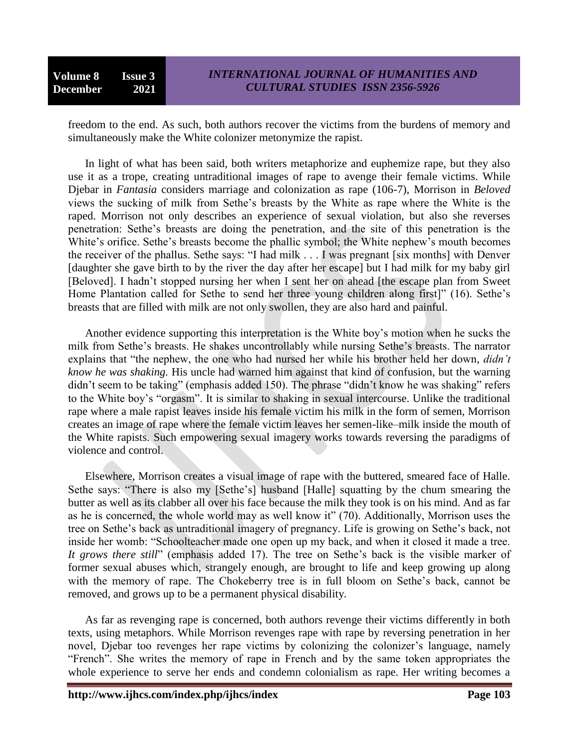freedom to the end. As such, both authors recover the victims from the burdens of memory and simultaneously make the White colonizer metonymize the rapist.

In light of what has been said, both writers metaphorize and euphemize rape, but they also use it as a trope, creating untraditional images of rape to avenge their female victims. While Djebar in *Fantasia* considers marriage and colonization as rape (106-7), Morrison in *Beloved* views the sucking of milk from Sethe's breasts by the White as rape where the White is the raped. Morrison not only describes an experience of sexual violation, but also she reverses penetration: Sethe's breasts are doing the penetration, and the site of this penetration is the White's orifice. Sethe's breasts become the phallic symbol; the White nephew's mouth becomes the receiver of the phallus. Sethe says: "I had milk  $\dots$  I was pregnant [six months] with Denver [daughter she gave birth to by the river the day after her escape] but I had milk for my baby girl [Beloved]. I hadn't stopped nursing her when I sent her on ahead [the escape plan from Sweet Home Plantation called for Sethe to send her three young children along first]" (16). Sethe's breasts that are filled with milk are not only swollen, they are also hard and painful.

Another evidence supporting this interpretation is the White boy's motion when he sucks the milk from Sethe's breasts. He shakes uncontrollably while nursing Sethe's breasts. The narrator explains that "the nephew, the one who had nursed her while his brother held her down, *didn't know he was shaking.* His uncle had warned him against that kind of confusion, but the warning didn't seem to be taking" (emphasis added 150). The phrase "didn't know he was shaking" refers to the White boy's "orgasm". It is similar to shaking in sexual intercourse. Unlike the traditional rape where a male rapist leaves inside his female victim his milk in the form of semen, Morrison creates an image of rape where the female victim leaves her semen-like–milk inside the mouth of the White rapists. Such empowering sexual imagery works towards reversing the paradigms of violence and control.

Elsewhere, Morrison creates a visual image of rape with the buttered, smeared face of Halle. Sethe says: "There is also my [Sethe's] husband [Halle] squatting by the chum smearing the butter as well as its clabber all over his face because the milk they took is on his mind. And as far as he is concerned, the whole world may as well know it" (70). Additionally, Morrison uses the tree on Sethe's back as untraditional imagery of pregnancy. Life is growing on Sethe's back, not inside her womb: "Schoolteacher made one open up my back, and when it closed it made a tree. *It grows there still*" (emphasis added 17). The tree on Sethe's back is the visible marker of former sexual abuses which, strangely enough, are brought to life and keep growing up along with the memory of rape. The Chokeberry tree is in full bloom on Sethe's back, cannot be removed, and grows up to be a permanent physical disability.

As far as revenging rape is concerned, both authors revenge their victims differently in both texts, using metaphors. While Morrison revenges rape with rape by reversing penetration in her novel, Djebar too revenges her rape victims by colonizing the colonizer's language, namely "French". She writes the memory of rape in French and by the same token appropriates the whole experience to serve her ends and condemn colonialism as rape. Her writing becomes a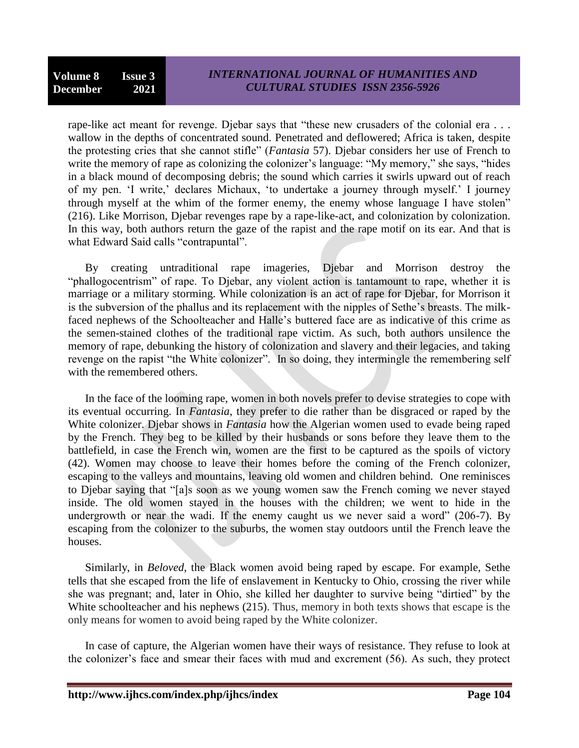rape-like act meant for revenge. Djebar says that "these new crusaders of the colonial era . . . wallow in the depths of concentrated sound. Penetrated and deflowered; Africa is taken, despite the protesting cries that she cannot stifle" (*Fantasia* 57). Djebar considers her use of French to write the memory of rape as colonizing the colonizer's language: "My memory," she says, "hides in a black mound of decomposing debris; the sound which carries it swirls upward out of reach of my pen. ‗I write,' declares Michaux, ‗to undertake a journey through myself.' I journey through myself at the whim of the former enemy, the enemy whose language I have stolen" (216). Like Morrison, Djebar revenges rape by a rape-like-act, and colonization by colonization. In this way, both authors return the gaze of the rapist and the rape motif on its ear. And that is what Edward Said calls "contrapuntal".

By creating untraditional rape imageries, Djebar and Morrison destroy the "phallogocentrism" of rape. To Djebar, any violent action is tantamount to rape, whether it is marriage or a military storming. While colonization is an act of rape for Djebar, for Morrison it is the subversion of the phallus and its replacement with the nipples of Sethe's breasts. The milkfaced nephews of the Schoolteacher and Halle's buttered face are as indicative of this crime as the semen-stained clothes of the traditional rape victim. As such, both authors unsilence the memory of rape, debunking the history of colonization and slavery and their legacies, and taking revenge on the rapist "the White colonizer". In so doing, they intermingle the remembering self with the remembered others.

In the face of the looming rape, women in both novels prefer to devise strategies to cope with its eventual occurring. In *Fantasia*, they prefer to die rather than be disgraced or raped by the White colonizer. Djebar shows in *Fantasia* how the Algerian women used to evade being raped by the French. They beg to be killed by their husbands or sons before they leave them to the battlefield, in case the French win, women are the first to be captured as the spoils of victory (42). Women may choose to leave their homes before the coming of the French colonizer, escaping to the valleys and mountains, leaving old women and children behind. One reminisces to Diebar saying that "[a]s soon as we young women saw the French coming we never stayed inside. The old women stayed in the houses with the children; we went to hide in the undergrowth or near the wadi. If the enemy caught us we never said a word"  $(206-7)$ . By escaping from the colonizer to the suburbs, the women stay outdoors until the French leave the houses.

Similarly, in *Beloved*, the Black women avoid being raped by escape. For example, Sethe tells that she escaped from the life of enslavement in Kentucky to Ohio, crossing the river while she was pregnant; and, later in Ohio, she killed her daughter to survive being "dirtied" by the White schoolteacher and his nephews (215). Thus, memory in both texts shows that escape is the only means for women to avoid being raped by the White colonizer.

In case of capture, the Algerian women have their ways of resistance. They refuse to look at the colonizer's face and smear their faces with mud and excrement (56). As such, they protect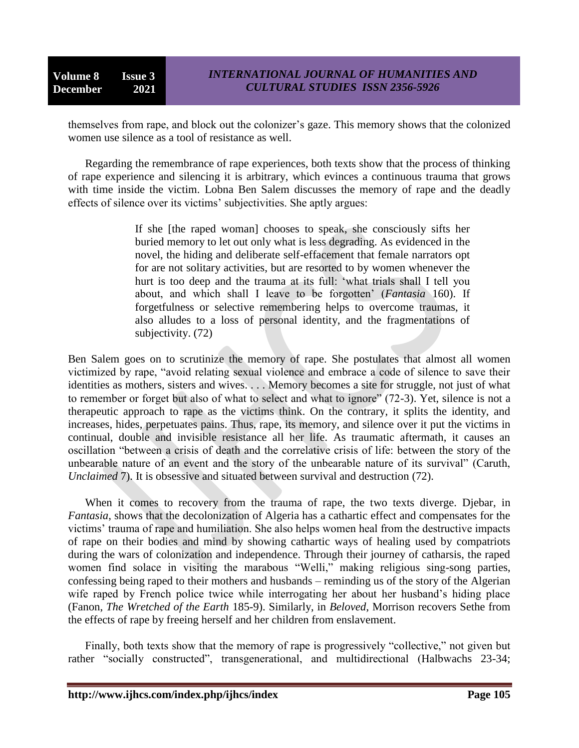themselves from rape, and block out the colonizer's gaze. This memory shows that the colonized women use silence as a tool of resistance as well.

Regarding the remembrance of rape experiences, both texts show that the process of thinking of rape experience and silencing it is arbitrary, which evinces a continuous trauma that grows with time inside the victim. Lobna Ben Salem discusses the memory of rape and the deadly effects of silence over its victims' subjectivities. She aptly argues:

> If she [the raped woman] chooses to speak, she consciously sifts her buried memory to let out only what is less degrading. As evidenced in the novel, the hiding and deliberate self-effacement that female narrators opt for are not solitary activities, but are resorted to by women whenever the hurt is too deep and the trauma at its full: 'what trials shall I tell you about, and which shall I leave to be forgotten' (*Fantasia* 160). If forgetfulness or selective remembering helps to overcome traumas, it also alludes to a loss of personal identity, and the fragmentations of subjectivity. (72)

Ben Salem goes on to scrutinize the memory of rape. She postulates that almost all women victimized by rape, "avoid relating sexual violence and embrace a code of silence to save their identities as mothers, sisters and wives. . . . Memory becomes a site for struggle, not just of what to remember or forget but also of what to select and what to ignore" (72-3). Yet, silence is not a therapeutic approach to rape as the victims think. On the contrary, it splits the identity, and increases, hides, perpetuates pains. Thus, rape, its memory, and silence over it put the victims in continual, double and invisible resistance all her life. As traumatic aftermath, it causes an oscillation "between a crisis of death and the correlative crisis of life: between the story of the unbearable nature of an event and the story of the unbearable nature of its survival" (Caruth, *Unclaimed* 7). It is obsessive and situated between survival and destruction (72).

When it comes to recovery from the trauma of rape, the two texts diverge. Djebar, in *Fantasia*, shows that the decolonization of Algeria has a cathartic effect and compensates for the victims' trauma of rape and humiliation. She also helps women heal from the destructive impacts of rape on their bodies and mind by showing cathartic ways of healing used by compatriots during the wars of colonization and independence. Through their journey of catharsis, the raped women find solace in visiting the marabous "Welli," making religious sing-song parties, confessing being raped to their mothers and husbands – reminding us of the story of the Algerian wife raped by French police twice while interrogating her about her husband's hiding place (Fanon, *The Wretched of the Earth* 185-9). Similarly, in *Beloved*, Morrison recovers Sethe from the effects of rape by freeing herself and her children from enslavement.

Finally, both texts show that the memory of rape is progressively "collective," not given but rather "socially constructed", transgenerational, and multidirectional (Halbwachs 23-34;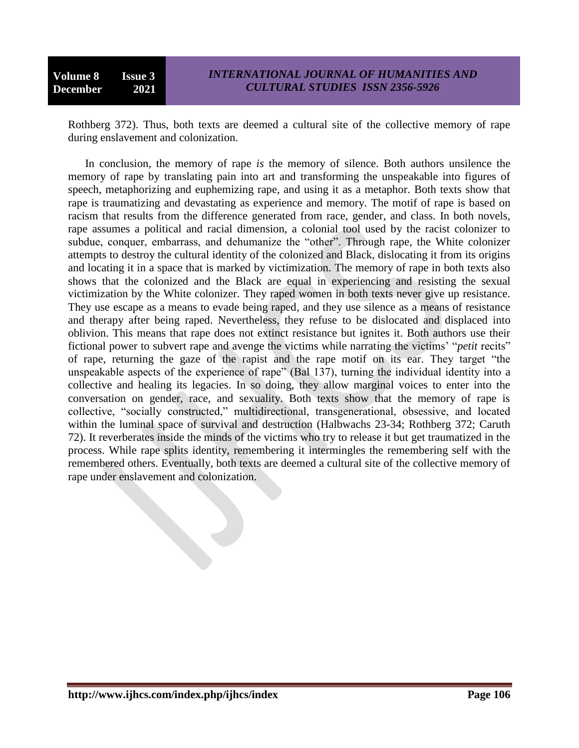Rothberg 372). Thus, both texts are deemed a cultural site of the collective memory of rape during enslavement and colonization.

In conclusion, the memory of rape *is* the memory of silence. Both authors unsilence the memory of rape by translating pain into art and transforming the unspeakable into figures of speech, metaphorizing and euphemizing rape, and using it as a metaphor. Both texts show that rape is traumatizing and devastating as experience and memory. The motif of rape is based on racism that results from the difference generated from race, gender, and class. In both novels, rape assumes a political and racial dimension, a colonial tool used by the racist colonizer to subdue, conquer, embarrass, and dehumanize the "other". Through rape, the White colonizer attempts to destroy the cultural identity of the colonized and Black, dislocating it from its origins and locating it in a space that is marked by victimization. The memory of rape in both texts also shows that the colonized and the Black are equal in experiencing and resisting the sexual victimization by the White colonizer. They raped women in both texts never give up resistance. They use escape as a means to evade being raped, and they use silence as a means of resistance and therapy after being raped. Nevertheless, they refuse to be dislocated and displaced into oblivion. This means that rape does not extinct resistance but ignites it. Both authors use their fictional power to subvert rape and avenge the victims while narrating the victims' "*petit* recits" of rape, returning the gaze of the rapist and the rape motif on its ear. They target "the unspeakable aspects of the experience of rape" (Bal 137), turning the individual identity into a collective and healing its legacies. In so doing, they allow marginal voices to enter into the conversation on gender, race, and sexuality. Both texts show that the memory of rape is collective, "socially constructed," multidirectional, transgenerational, obsessive, and located within the luminal space of survival and destruction (Halbwachs 23-34; Rothberg 372; Caruth 72). It reverberates inside the minds of the victims who try to release it but get traumatized in the process. While rape splits identity, remembering it intermingles the remembering self with the remembered others. Eventually, both texts are deemed a cultural site of the collective memory of rape under enslavement and colonization.